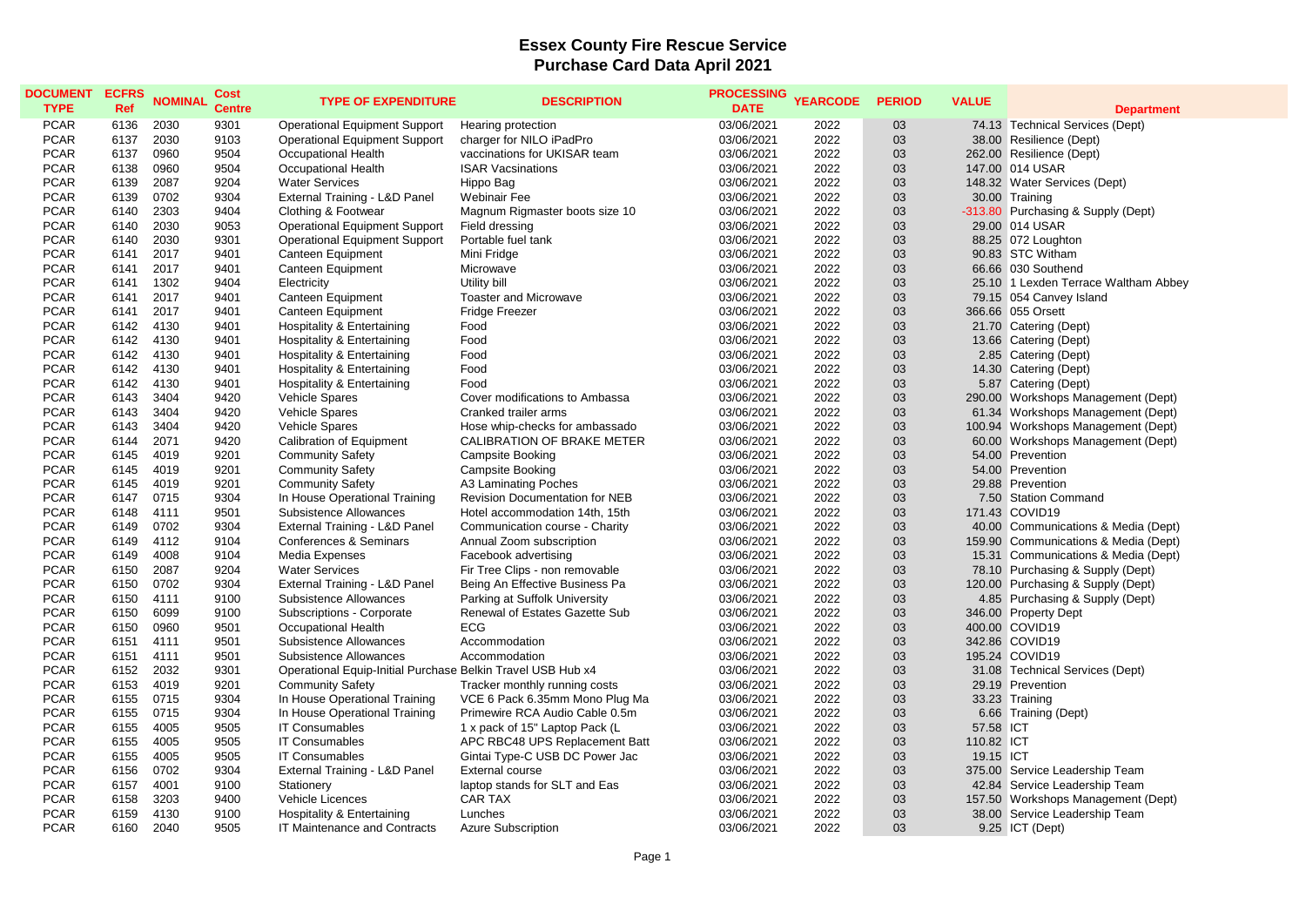## **Essex County Fire Rescue Service Purchase Card Data April 2021**

| <b>PCAR</b><br>6136<br>2030<br>9301<br><b>Operational Equipment Support</b><br>03/06/2021<br>2022<br>03<br>74.13 Technical Services (Dept)<br>Hearing protection<br><b>PCAR</b><br>2030<br>2022<br>03<br>6137<br>9103<br><b>Operational Equipment Support</b><br>charger for NILO iPadPro<br>03/06/2021<br>38.00 Resilience (Dept)<br><b>PCAR</b><br>0960<br>9504<br>vaccinations for UKISAR team<br>2022<br>03<br>6137<br>Occupational Health<br>03/06/2021<br>262.00 Resilience (Dept)<br><b>PCAR</b><br>6138<br>0960<br>9504<br>2022<br>03<br>147.00 014 USAR<br>Occupational Health<br><b>ISAR Vacsinations</b><br>03/06/2021<br>03<br><b>PCAR</b><br>6139<br>2087<br>9204<br><b>Water Services</b><br>Hippo Bag<br>03/06/2021<br>2022<br>148.32 Water Services (Dept)<br><b>PCAR</b><br>0702<br>03<br>6139<br>9304<br>External Training - L&D Panel<br>03/06/2021<br>2022<br>30.00 Training<br>Webinair Fee<br><b>PCAR</b><br>2303<br>9404<br>2022<br>03<br>6140<br>Clothing & Footwear<br>Magnum Rigmaster boots size 10<br>03/06/2021<br>-313.80 Purchasing & Supply (Dept)<br><b>PCAR</b><br>2030<br>9053<br><b>Operational Equipment Support</b><br>03/06/2021<br>2022<br>03<br>29.00 014 USAR<br>6140<br>Field dressing<br><b>PCAR</b><br>2030<br><b>Operational Equipment Support</b><br>2022<br>03<br>6140<br>9301<br>Portable fuel tank<br>03/06/2021<br>88.25 072 Loughton<br><b>PCAR</b><br>2022<br>03<br>90.83 STC Witham<br>6141<br>2017<br>9401<br>Canteen Equipment<br>Mini Fridge<br>03/06/2021<br>2022<br>03<br><b>PCAR</b><br>6141<br>2017<br>9401<br><b>Canteen Equipment</b><br>03/06/2021<br>66.66 030 Southend<br>Microwave<br>03<br><b>PCAR</b><br>6141<br>1302<br>9404<br>Electricity<br>Utility bill<br>03/06/2021<br>2022<br>25.10 1 Lexden Terrace Waltham Abbey<br><b>PCAR</b><br>2017<br><b>Toaster and Microwave</b><br>03/06/2021<br>2022<br>03<br>79.15 054 Canvey Island<br>6141<br>9401<br>Canteen Equipment<br><b>PCAR</b><br>2017<br>9401<br>Canteen Equipment<br>03/06/2021<br>2022<br>03<br>366.66 055 Orsett<br>6141<br>Fridge Freezer<br><b>PCAR</b><br>2022<br>03<br>6142<br>4130<br>9401<br>Hospitality & Entertaining<br>Food<br>03/06/2021<br>21.70 Catering (Dept)<br>2022<br>03<br>13.66 Catering (Dept)<br><b>PCAR</b><br>6142<br>4130<br>9401<br><b>Hospitality &amp; Entertaining</b><br>Food<br>03/06/2021<br><b>PCAR</b><br>2022<br>03<br>6142<br>4130<br>9401<br>Food<br>03/06/2021<br>2.85 Catering (Dept)<br>Hospitality & Entertaining<br><b>PCAR</b><br>14.30 Catering (Dept)<br>6142<br>4130<br>9401<br>Hospitality & Entertaining<br>Food<br>03/06/2021<br>2022<br>03<br>03<br><b>PCAR</b><br>6142<br>4130<br>9401<br>Food<br>03/06/2021<br>2022<br>5.87 Catering (Dept)<br>Hospitality & Entertaining<br><b>PCAR</b><br>3404<br>9420<br>03/06/2021<br>2022<br>03<br>6143<br>Vehicle Spares<br>Cover modifications to Ambassa<br>290.00 Workshops Management (Dept)<br><b>PCAR</b><br>6143<br>3404<br>9420<br>03/06/2021<br>2022<br>03<br>Vehicle Spares<br>Cranked trailer arms<br>61.34 Workshops Management (Dept)<br><b>PCAR</b><br>3404<br>9420<br>2022<br>03<br>6143<br>Vehicle Spares<br>Hose whip-checks for ambassado<br>03/06/2021<br>100.94 Workshops Management (Dept)<br>2022<br>03<br><b>PCAR</b><br>2071<br>9420<br><b>Calibration of Equipment</b><br>CALIBRATION OF BRAKE METER<br>03/06/2021<br>60.00 Workshops Management (Dept)<br>6144<br>2022<br>03<br>54.00 Prevention<br><b>PCAR</b><br>6145<br>4019<br>9201<br><b>Community Safety</b><br>03/06/2021<br><b>Campsite Booking</b><br><b>PCAR</b><br>4019<br>9201<br><b>Community Safety</b><br>03/06/2021<br>2022<br>03<br>54.00 Prevention<br>6145<br><b>Campsite Booking</b><br><b>PCAR</b><br>2022<br>03<br>6145<br>4019<br>9201<br><b>Community Safety</b><br>A3 Laminating Poches<br>03/06/2021<br>29.88 Prevention<br><b>PCAR</b><br>0715<br>9304<br>In House Operational Training<br>2022<br>03<br>6147<br><b>Revision Documentation for NEB</b><br>03/06/2021<br>7.50 Station Command<br><b>PCAR</b><br>2022<br>03<br>6148<br>4111<br>9501<br>Subsistence Allowances<br>Hotel accommodation 14th, 15th<br>03/06/2021<br>171.43 COVID19<br>2022<br><b>PCAR</b><br>6149<br>0702<br>9304<br>External Training - L&D Panel<br>Communication course - Charity<br>03/06/2021<br>03<br>40.00 Communications & Media (Dept)<br>03<br><b>PCAR</b><br>4112<br>9104<br><b>Conferences &amp; Seminars</b><br>03/06/2021<br>2022<br>159.90 Communications & Media (Dept)<br>6149<br>Annual Zoom subscription<br><b>PCAR</b><br>4008<br>9104<br>Media Expenses<br>03/06/2021<br>2022<br>03<br>15.31 Communications & Media (Dept)<br>6149<br>Facebook advertising<br><b>PCAR</b><br>2087<br>9204<br><b>Water Services</b><br>Fir Tree Clips - non removable<br>2022<br>03<br>6150<br>03/06/2021<br>78.10 Purchasing & Supply (Dept)<br>03<br>0702<br>2022<br><b>PCAR</b><br>6150<br>9304<br>External Training - L&D Panel<br>Being An Effective Business Pa<br>03/06/2021<br>120.00 Purchasing & Supply (Dept)<br><b>PCAR</b><br>2022<br>03<br>6150<br>4111<br>9100<br>Subsistence Allowances<br>Parking at Suffolk University<br>03/06/2021<br>4.85 Purchasing & Supply (Dept)<br><b>PCAR</b><br>2022<br>6150<br>6099<br>9100<br>Subscriptions - Corporate<br>Renewal of Estates Gazette Sub<br>03/06/2021<br>03<br>346.00 Property Dept<br><b>PCAR</b><br>6150<br>0960<br>9501<br>Occupational Health<br><b>ECG</b><br>03/06/2021<br>2022<br>03<br>400.00 COVID19<br><b>PCAR</b><br>9501<br>2022<br>03<br>6151<br>4111<br>Subsistence Allowances<br>03/06/2021<br>342.86 COVID19<br>Accommodation<br><b>PCAR</b><br>4111<br>9501<br>03/06/2021<br>2022<br>03<br>195.24 COVID19<br>6151<br>Subsistence Allowances<br>Accommodation<br><b>PCAR</b><br>2032<br>2022<br>03<br>6152<br>9301<br>Operational Equip-Initial Purchase Belkin Travel USB Hub x4<br>03/06/2021<br>31.08 Technical Services (Dept)<br><b>PCAR</b><br>03<br>6153<br>4019<br>9201<br><b>Community Safety</b><br>03/06/2021<br>2022<br>29.19 Prevention<br>Tracker monthly running costs<br><b>PCAR</b><br>0715<br>2022<br>6155<br>9304<br>In House Operational Training<br>VCE 6 Pack 6.35mm Mono Plug Ma<br>03/06/2021<br>03<br>33.23 Training<br><b>PCAR</b><br>6155<br>0715<br>9304<br>In House Operational Training<br>Primewire RCA Audio Cable 0.5m<br>03/06/2021<br>2022<br>03<br>6.66 Training (Dept)<br>2022<br>03<br><b>PCAR</b><br>6155<br>4005<br>9505<br><b>IT Consumables</b><br>1 x pack of 15" Laptop Pack (L<br>03/06/2021<br>57.58 ICT<br><b>PCAR</b><br>4005<br>9505<br>IT Consumables<br>2022<br>03<br>110.82 ICT<br>6155<br>APC RBC48 UPS Replacement Batt<br>03/06/2021<br><b>PCAR</b><br>4005<br>9505<br>Gintai Type-C USB DC Power Jac<br>2022<br>03<br>6155<br><b>IT Consumables</b><br>03/06/2021<br>19.15 ICT<br><b>PCAR</b><br>6156<br>0702<br>9304<br>External Training - L&D Panel<br>03/06/2021<br>2022<br>03<br>375.00 Service Leadership Team<br><b>External course</b><br>03<br><b>PCAR</b><br>4001<br>laptop stands for SLT and Eas<br>03/06/2021<br>2022<br>42.84 Service Leadership Team<br>6157<br>9100<br>Stationery<br><b>CAR TAX</b><br>2022<br><b>PCAR</b><br>6158<br>3203<br>9400<br>Vehicle Licences<br>03/06/2021<br>03<br>157.50 Workshops Management (Dept)<br><b>PCAR</b><br>4130<br>2022<br>03<br>6159<br>9100<br>Hospitality & Entertaining<br>Lunches<br>03/06/2021<br>38.00 Service Leadership Team<br>2040<br>2022<br>03<br><b>PCAR</b><br>6160<br>9505<br>IT Maintenance and Contracts<br><b>Azure Subscription</b><br>03/06/2021<br>9.25 ICT (Dept) | <b>DOCUMENT</b> | <b>ECFRS</b> | <b>NOMINAL</b> | Cost          | <b>TYPE OF EXPENDITURE</b> | <b>DESCRIPTION</b> | <b>PROCESSING</b> | <b>YEARCODE</b> | <b>PERIOD</b> | <b>VALUE</b> |                   |
|---------------------------------------------------------------------------------------------------------------------------------------------------------------------------------------------------------------------------------------------------------------------------------------------------------------------------------------------------------------------------------------------------------------------------------------------------------------------------------------------------------------------------------------------------------------------------------------------------------------------------------------------------------------------------------------------------------------------------------------------------------------------------------------------------------------------------------------------------------------------------------------------------------------------------------------------------------------------------------------------------------------------------------------------------------------------------------------------------------------------------------------------------------------------------------------------------------------------------------------------------------------------------------------------------------------------------------------------------------------------------------------------------------------------------------------------------------------------------------------------------------------------------------------------------------------------------------------------------------------------------------------------------------------------------------------------------------------------------------------------------------------------------------------------------------------------------------------------------------------------------------------------------------------------------------------------------------------------------------------------------------------------------------------------------------------------------------------------------------------------------------------------------------------------------------------------------------------------------------------------------------------------------------------------------------------------------------------------------------------------------------------------------------------------------------------------------------------------------------------------------------------------------------------------------------------------------------------------------------------------------------------------------------------------------------------------------------------------------------------------------------------------------------------------------------------------------------------------------------------------------------------------------------------------------------------------------------------------------------------------------------------------------------------------------------------------------------------------------------------------------------------------------------------------------------------------------------------------------------------------------------------------------------------------------------------------------------------------------------------------------------------------------------------------------------------------------------------------------------------------------------------------------------------------------------------------------------------------------------------------------------------------------------------------------------------------------------------------------------------------------------------------------------------------------------------------------------------------------------------------------------------------------------------------------------------------------------------------------------------------------------------------------------------------------------------------------------------------------------------------------------------------------------------------------------------------------------------------------------------------------------------------------------------------------------------------------------------------------------------------------------------------------------------------------------------------------------------------------------------------------------------------------------------------------------------------------------------------------------------------------------------------------------------------------------------------------------------------------------------------------------------------------------------------------------------------------------------------------------------------------------------------------------------------------------------------------------------------------------------------------------------------------------------------------------------------------------------------------------------------------------------------------------------------------------------------------------------------------------------------------------------------------------------------------------------------------------------------------------------------------------------------------------------------------------------------------------------------------------------------------------------------------------------------------------------------------------------------------------------------------------------------------------------------------------------------------------------------------------------------------------------------------------------------------------------------------------------------------------------------------------------------------------------------------------------------------------------------------------------------------------------------------------------------------------------------------------------------------------------------------------------------------------------------------------------------------------------------------------------------------------------------------------------------------------------------------------------------------------------------------------------------------------------------------------------------------------------------------------------------------------------------------------------------------------------------------------------------------------------------------------------------------------------------------------------------------------------------------------------------------------------------------------------------------------------------------------------------------------------------------------------------------------------------------------------------------------------------------------------------------------------------------------------------------------------------------------------------------------------------------------------------------------------------------------------------------------------------------------------------------------------------------------------------------------------------------------------------------------------------------------------------------------------------------------------------------------------------------------------------------------------------------------------------------------------------------------------------------------------|-----------------|--------------|----------------|---------------|----------------------------|--------------------|-------------------|-----------------|---------------|--------------|-------------------|
|                                                                                                                                                                                                                                                                                                                                                                                                                                                                                                                                                                                                                                                                                                                                                                                                                                                                                                                                                                                                                                                                                                                                                                                                                                                                                                                                                                                                                                                                                                                                                                                                                                                                                                                                                                                                                                                                                                                                                                                                                                                                                                                                                                                                                                                                                                                                                                                                                                                                                                                                                                                                                                                                                                                                                                                                                                                                                                                                                                                                                                                                                                                                                                                                                                                                                                                                                                                                                                                                                                                                                                                                                                                                                                                                                                                                                                                                                                                                                                                                                                                                                                                                                                                                                                                                                                                                                                                                                                                                                                                                                                                                                                                                                                                                                                                                                                                                                                                                                                                                                                                                                                                                                                                                                                                                                                                                                                                                                                                                                                                                                                                                                                                                                                                                                                                                                                                                                                                                                                                                                                                                                                                                                                                                                                                                                                                                                                                                                                                                                                                                                                                                                                                                                                                                                                                                                                                                                                                                                                                                                                                                                                                                                                                                                                                                                                                                                                                                                                                                                                                                                                                                               | <b>TYPE</b>     | Ref          |                | <b>Centre</b> |                            |                    | <b>DATE</b>       |                 |               |              | <b>Department</b> |
|                                                                                                                                                                                                                                                                                                                                                                                                                                                                                                                                                                                                                                                                                                                                                                                                                                                                                                                                                                                                                                                                                                                                                                                                                                                                                                                                                                                                                                                                                                                                                                                                                                                                                                                                                                                                                                                                                                                                                                                                                                                                                                                                                                                                                                                                                                                                                                                                                                                                                                                                                                                                                                                                                                                                                                                                                                                                                                                                                                                                                                                                                                                                                                                                                                                                                                                                                                                                                                                                                                                                                                                                                                                                                                                                                                                                                                                                                                                                                                                                                                                                                                                                                                                                                                                                                                                                                                                                                                                                                                                                                                                                                                                                                                                                                                                                                                                                                                                                                                                                                                                                                                                                                                                                                                                                                                                                                                                                                                                                                                                                                                                                                                                                                                                                                                                                                                                                                                                                                                                                                                                                                                                                                                                                                                                                                                                                                                                                                                                                                                                                                                                                                                                                                                                                                                                                                                                                                                                                                                                                                                                                                                                                                                                                                                                                                                                                                                                                                                                                                                                                                                                                               |                 |              |                |               |                            |                    |                   |                 |               |              |                   |
|                                                                                                                                                                                                                                                                                                                                                                                                                                                                                                                                                                                                                                                                                                                                                                                                                                                                                                                                                                                                                                                                                                                                                                                                                                                                                                                                                                                                                                                                                                                                                                                                                                                                                                                                                                                                                                                                                                                                                                                                                                                                                                                                                                                                                                                                                                                                                                                                                                                                                                                                                                                                                                                                                                                                                                                                                                                                                                                                                                                                                                                                                                                                                                                                                                                                                                                                                                                                                                                                                                                                                                                                                                                                                                                                                                                                                                                                                                                                                                                                                                                                                                                                                                                                                                                                                                                                                                                                                                                                                                                                                                                                                                                                                                                                                                                                                                                                                                                                                                                                                                                                                                                                                                                                                                                                                                                                                                                                                                                                                                                                                                                                                                                                                                                                                                                                                                                                                                                                                                                                                                                                                                                                                                                                                                                                                                                                                                                                                                                                                                                                                                                                                                                                                                                                                                                                                                                                                                                                                                                                                                                                                                                                                                                                                                                                                                                                                                                                                                                                                                                                                                                                               |                 |              |                |               |                            |                    |                   |                 |               |              |                   |
|                                                                                                                                                                                                                                                                                                                                                                                                                                                                                                                                                                                                                                                                                                                                                                                                                                                                                                                                                                                                                                                                                                                                                                                                                                                                                                                                                                                                                                                                                                                                                                                                                                                                                                                                                                                                                                                                                                                                                                                                                                                                                                                                                                                                                                                                                                                                                                                                                                                                                                                                                                                                                                                                                                                                                                                                                                                                                                                                                                                                                                                                                                                                                                                                                                                                                                                                                                                                                                                                                                                                                                                                                                                                                                                                                                                                                                                                                                                                                                                                                                                                                                                                                                                                                                                                                                                                                                                                                                                                                                                                                                                                                                                                                                                                                                                                                                                                                                                                                                                                                                                                                                                                                                                                                                                                                                                                                                                                                                                                                                                                                                                                                                                                                                                                                                                                                                                                                                                                                                                                                                                                                                                                                                                                                                                                                                                                                                                                                                                                                                                                                                                                                                                                                                                                                                                                                                                                                                                                                                                                                                                                                                                                                                                                                                                                                                                                                                                                                                                                                                                                                                                                               |                 |              |                |               |                            |                    |                   |                 |               |              |                   |
|                                                                                                                                                                                                                                                                                                                                                                                                                                                                                                                                                                                                                                                                                                                                                                                                                                                                                                                                                                                                                                                                                                                                                                                                                                                                                                                                                                                                                                                                                                                                                                                                                                                                                                                                                                                                                                                                                                                                                                                                                                                                                                                                                                                                                                                                                                                                                                                                                                                                                                                                                                                                                                                                                                                                                                                                                                                                                                                                                                                                                                                                                                                                                                                                                                                                                                                                                                                                                                                                                                                                                                                                                                                                                                                                                                                                                                                                                                                                                                                                                                                                                                                                                                                                                                                                                                                                                                                                                                                                                                                                                                                                                                                                                                                                                                                                                                                                                                                                                                                                                                                                                                                                                                                                                                                                                                                                                                                                                                                                                                                                                                                                                                                                                                                                                                                                                                                                                                                                                                                                                                                                                                                                                                                                                                                                                                                                                                                                                                                                                                                                                                                                                                                                                                                                                                                                                                                                                                                                                                                                                                                                                                                                                                                                                                                                                                                                                                                                                                                                                                                                                                                                               |                 |              |                |               |                            |                    |                   |                 |               |              |                   |
|                                                                                                                                                                                                                                                                                                                                                                                                                                                                                                                                                                                                                                                                                                                                                                                                                                                                                                                                                                                                                                                                                                                                                                                                                                                                                                                                                                                                                                                                                                                                                                                                                                                                                                                                                                                                                                                                                                                                                                                                                                                                                                                                                                                                                                                                                                                                                                                                                                                                                                                                                                                                                                                                                                                                                                                                                                                                                                                                                                                                                                                                                                                                                                                                                                                                                                                                                                                                                                                                                                                                                                                                                                                                                                                                                                                                                                                                                                                                                                                                                                                                                                                                                                                                                                                                                                                                                                                                                                                                                                                                                                                                                                                                                                                                                                                                                                                                                                                                                                                                                                                                                                                                                                                                                                                                                                                                                                                                                                                                                                                                                                                                                                                                                                                                                                                                                                                                                                                                                                                                                                                                                                                                                                                                                                                                                                                                                                                                                                                                                                                                                                                                                                                                                                                                                                                                                                                                                                                                                                                                                                                                                                                                                                                                                                                                                                                                                                                                                                                                                                                                                                                                               |                 |              |                |               |                            |                    |                   |                 |               |              |                   |
|                                                                                                                                                                                                                                                                                                                                                                                                                                                                                                                                                                                                                                                                                                                                                                                                                                                                                                                                                                                                                                                                                                                                                                                                                                                                                                                                                                                                                                                                                                                                                                                                                                                                                                                                                                                                                                                                                                                                                                                                                                                                                                                                                                                                                                                                                                                                                                                                                                                                                                                                                                                                                                                                                                                                                                                                                                                                                                                                                                                                                                                                                                                                                                                                                                                                                                                                                                                                                                                                                                                                                                                                                                                                                                                                                                                                                                                                                                                                                                                                                                                                                                                                                                                                                                                                                                                                                                                                                                                                                                                                                                                                                                                                                                                                                                                                                                                                                                                                                                                                                                                                                                                                                                                                                                                                                                                                                                                                                                                                                                                                                                                                                                                                                                                                                                                                                                                                                                                                                                                                                                                                                                                                                                                                                                                                                                                                                                                                                                                                                                                                                                                                                                                                                                                                                                                                                                                                                                                                                                                                                                                                                                                                                                                                                                                                                                                                                                                                                                                                                                                                                                                                               |                 |              |                |               |                            |                    |                   |                 |               |              |                   |
|                                                                                                                                                                                                                                                                                                                                                                                                                                                                                                                                                                                                                                                                                                                                                                                                                                                                                                                                                                                                                                                                                                                                                                                                                                                                                                                                                                                                                                                                                                                                                                                                                                                                                                                                                                                                                                                                                                                                                                                                                                                                                                                                                                                                                                                                                                                                                                                                                                                                                                                                                                                                                                                                                                                                                                                                                                                                                                                                                                                                                                                                                                                                                                                                                                                                                                                                                                                                                                                                                                                                                                                                                                                                                                                                                                                                                                                                                                                                                                                                                                                                                                                                                                                                                                                                                                                                                                                                                                                                                                                                                                                                                                                                                                                                                                                                                                                                                                                                                                                                                                                                                                                                                                                                                                                                                                                                                                                                                                                                                                                                                                                                                                                                                                                                                                                                                                                                                                                                                                                                                                                                                                                                                                                                                                                                                                                                                                                                                                                                                                                                                                                                                                                                                                                                                                                                                                                                                                                                                                                                                                                                                                                                                                                                                                                                                                                                                                                                                                                                                                                                                                                                               |                 |              |                |               |                            |                    |                   |                 |               |              |                   |
|                                                                                                                                                                                                                                                                                                                                                                                                                                                                                                                                                                                                                                                                                                                                                                                                                                                                                                                                                                                                                                                                                                                                                                                                                                                                                                                                                                                                                                                                                                                                                                                                                                                                                                                                                                                                                                                                                                                                                                                                                                                                                                                                                                                                                                                                                                                                                                                                                                                                                                                                                                                                                                                                                                                                                                                                                                                                                                                                                                                                                                                                                                                                                                                                                                                                                                                                                                                                                                                                                                                                                                                                                                                                                                                                                                                                                                                                                                                                                                                                                                                                                                                                                                                                                                                                                                                                                                                                                                                                                                                                                                                                                                                                                                                                                                                                                                                                                                                                                                                                                                                                                                                                                                                                                                                                                                                                                                                                                                                                                                                                                                                                                                                                                                                                                                                                                                                                                                                                                                                                                                                                                                                                                                                                                                                                                                                                                                                                                                                                                                                                                                                                                                                                                                                                                                                                                                                                                                                                                                                                                                                                                                                                                                                                                                                                                                                                                                                                                                                                                                                                                                                                               |                 |              |                |               |                            |                    |                   |                 |               |              |                   |
|                                                                                                                                                                                                                                                                                                                                                                                                                                                                                                                                                                                                                                                                                                                                                                                                                                                                                                                                                                                                                                                                                                                                                                                                                                                                                                                                                                                                                                                                                                                                                                                                                                                                                                                                                                                                                                                                                                                                                                                                                                                                                                                                                                                                                                                                                                                                                                                                                                                                                                                                                                                                                                                                                                                                                                                                                                                                                                                                                                                                                                                                                                                                                                                                                                                                                                                                                                                                                                                                                                                                                                                                                                                                                                                                                                                                                                                                                                                                                                                                                                                                                                                                                                                                                                                                                                                                                                                                                                                                                                                                                                                                                                                                                                                                                                                                                                                                                                                                                                                                                                                                                                                                                                                                                                                                                                                                                                                                                                                                                                                                                                                                                                                                                                                                                                                                                                                                                                                                                                                                                                                                                                                                                                                                                                                                                                                                                                                                                                                                                                                                                                                                                                                                                                                                                                                                                                                                                                                                                                                                                                                                                                                                                                                                                                                                                                                                                                                                                                                                                                                                                                                                               |                 |              |                |               |                            |                    |                   |                 |               |              |                   |
|                                                                                                                                                                                                                                                                                                                                                                                                                                                                                                                                                                                                                                                                                                                                                                                                                                                                                                                                                                                                                                                                                                                                                                                                                                                                                                                                                                                                                                                                                                                                                                                                                                                                                                                                                                                                                                                                                                                                                                                                                                                                                                                                                                                                                                                                                                                                                                                                                                                                                                                                                                                                                                                                                                                                                                                                                                                                                                                                                                                                                                                                                                                                                                                                                                                                                                                                                                                                                                                                                                                                                                                                                                                                                                                                                                                                                                                                                                                                                                                                                                                                                                                                                                                                                                                                                                                                                                                                                                                                                                                                                                                                                                                                                                                                                                                                                                                                                                                                                                                                                                                                                                                                                                                                                                                                                                                                                                                                                                                                                                                                                                                                                                                                                                                                                                                                                                                                                                                                                                                                                                                                                                                                                                                                                                                                                                                                                                                                                                                                                                                                                                                                                                                                                                                                                                                                                                                                                                                                                                                                                                                                                                                                                                                                                                                                                                                                                                                                                                                                                                                                                                                                               |                 |              |                |               |                            |                    |                   |                 |               |              |                   |
|                                                                                                                                                                                                                                                                                                                                                                                                                                                                                                                                                                                                                                                                                                                                                                                                                                                                                                                                                                                                                                                                                                                                                                                                                                                                                                                                                                                                                                                                                                                                                                                                                                                                                                                                                                                                                                                                                                                                                                                                                                                                                                                                                                                                                                                                                                                                                                                                                                                                                                                                                                                                                                                                                                                                                                                                                                                                                                                                                                                                                                                                                                                                                                                                                                                                                                                                                                                                                                                                                                                                                                                                                                                                                                                                                                                                                                                                                                                                                                                                                                                                                                                                                                                                                                                                                                                                                                                                                                                                                                                                                                                                                                                                                                                                                                                                                                                                                                                                                                                                                                                                                                                                                                                                                                                                                                                                                                                                                                                                                                                                                                                                                                                                                                                                                                                                                                                                                                                                                                                                                                                                                                                                                                                                                                                                                                                                                                                                                                                                                                                                                                                                                                                                                                                                                                                                                                                                                                                                                                                                                                                                                                                                                                                                                                                                                                                                                                                                                                                                                                                                                                                                               |                 |              |                |               |                            |                    |                   |                 |               |              |                   |
|                                                                                                                                                                                                                                                                                                                                                                                                                                                                                                                                                                                                                                                                                                                                                                                                                                                                                                                                                                                                                                                                                                                                                                                                                                                                                                                                                                                                                                                                                                                                                                                                                                                                                                                                                                                                                                                                                                                                                                                                                                                                                                                                                                                                                                                                                                                                                                                                                                                                                                                                                                                                                                                                                                                                                                                                                                                                                                                                                                                                                                                                                                                                                                                                                                                                                                                                                                                                                                                                                                                                                                                                                                                                                                                                                                                                                                                                                                                                                                                                                                                                                                                                                                                                                                                                                                                                                                                                                                                                                                                                                                                                                                                                                                                                                                                                                                                                                                                                                                                                                                                                                                                                                                                                                                                                                                                                                                                                                                                                                                                                                                                                                                                                                                                                                                                                                                                                                                                                                                                                                                                                                                                                                                                                                                                                                                                                                                                                                                                                                                                                                                                                                                                                                                                                                                                                                                                                                                                                                                                                                                                                                                                                                                                                                                                                                                                                                                                                                                                                                                                                                                                                               |                 |              |                |               |                            |                    |                   |                 |               |              |                   |
|                                                                                                                                                                                                                                                                                                                                                                                                                                                                                                                                                                                                                                                                                                                                                                                                                                                                                                                                                                                                                                                                                                                                                                                                                                                                                                                                                                                                                                                                                                                                                                                                                                                                                                                                                                                                                                                                                                                                                                                                                                                                                                                                                                                                                                                                                                                                                                                                                                                                                                                                                                                                                                                                                                                                                                                                                                                                                                                                                                                                                                                                                                                                                                                                                                                                                                                                                                                                                                                                                                                                                                                                                                                                                                                                                                                                                                                                                                                                                                                                                                                                                                                                                                                                                                                                                                                                                                                                                                                                                                                                                                                                                                                                                                                                                                                                                                                                                                                                                                                                                                                                                                                                                                                                                                                                                                                                                                                                                                                                                                                                                                                                                                                                                                                                                                                                                                                                                                                                                                                                                                                                                                                                                                                                                                                                                                                                                                                                                                                                                                                                                                                                                                                                                                                                                                                                                                                                                                                                                                                                                                                                                                                                                                                                                                                                                                                                                                                                                                                                                                                                                                                                               |                 |              |                |               |                            |                    |                   |                 |               |              |                   |
|                                                                                                                                                                                                                                                                                                                                                                                                                                                                                                                                                                                                                                                                                                                                                                                                                                                                                                                                                                                                                                                                                                                                                                                                                                                                                                                                                                                                                                                                                                                                                                                                                                                                                                                                                                                                                                                                                                                                                                                                                                                                                                                                                                                                                                                                                                                                                                                                                                                                                                                                                                                                                                                                                                                                                                                                                                                                                                                                                                                                                                                                                                                                                                                                                                                                                                                                                                                                                                                                                                                                                                                                                                                                                                                                                                                                                                                                                                                                                                                                                                                                                                                                                                                                                                                                                                                                                                                                                                                                                                                                                                                                                                                                                                                                                                                                                                                                                                                                                                                                                                                                                                                                                                                                                                                                                                                                                                                                                                                                                                                                                                                                                                                                                                                                                                                                                                                                                                                                                                                                                                                                                                                                                                                                                                                                                                                                                                                                                                                                                                                                                                                                                                                                                                                                                                                                                                                                                                                                                                                                                                                                                                                                                                                                                                                                                                                                                                                                                                                                                                                                                                                                               |                 |              |                |               |                            |                    |                   |                 |               |              |                   |
|                                                                                                                                                                                                                                                                                                                                                                                                                                                                                                                                                                                                                                                                                                                                                                                                                                                                                                                                                                                                                                                                                                                                                                                                                                                                                                                                                                                                                                                                                                                                                                                                                                                                                                                                                                                                                                                                                                                                                                                                                                                                                                                                                                                                                                                                                                                                                                                                                                                                                                                                                                                                                                                                                                                                                                                                                                                                                                                                                                                                                                                                                                                                                                                                                                                                                                                                                                                                                                                                                                                                                                                                                                                                                                                                                                                                                                                                                                                                                                                                                                                                                                                                                                                                                                                                                                                                                                                                                                                                                                                                                                                                                                                                                                                                                                                                                                                                                                                                                                                                                                                                                                                                                                                                                                                                                                                                                                                                                                                                                                                                                                                                                                                                                                                                                                                                                                                                                                                                                                                                                                                                                                                                                                                                                                                                                                                                                                                                                                                                                                                                                                                                                                                                                                                                                                                                                                                                                                                                                                                                                                                                                                                                                                                                                                                                                                                                                                                                                                                                                                                                                                                                               |                 |              |                |               |                            |                    |                   |                 |               |              |                   |
|                                                                                                                                                                                                                                                                                                                                                                                                                                                                                                                                                                                                                                                                                                                                                                                                                                                                                                                                                                                                                                                                                                                                                                                                                                                                                                                                                                                                                                                                                                                                                                                                                                                                                                                                                                                                                                                                                                                                                                                                                                                                                                                                                                                                                                                                                                                                                                                                                                                                                                                                                                                                                                                                                                                                                                                                                                                                                                                                                                                                                                                                                                                                                                                                                                                                                                                                                                                                                                                                                                                                                                                                                                                                                                                                                                                                                                                                                                                                                                                                                                                                                                                                                                                                                                                                                                                                                                                                                                                                                                                                                                                                                                                                                                                                                                                                                                                                                                                                                                                                                                                                                                                                                                                                                                                                                                                                                                                                                                                                                                                                                                                                                                                                                                                                                                                                                                                                                                                                                                                                                                                                                                                                                                                                                                                                                                                                                                                                                                                                                                                                                                                                                                                                                                                                                                                                                                                                                                                                                                                                                                                                                                                                                                                                                                                                                                                                                                                                                                                                                                                                                                                                               |                 |              |                |               |                            |                    |                   |                 |               |              |                   |
|                                                                                                                                                                                                                                                                                                                                                                                                                                                                                                                                                                                                                                                                                                                                                                                                                                                                                                                                                                                                                                                                                                                                                                                                                                                                                                                                                                                                                                                                                                                                                                                                                                                                                                                                                                                                                                                                                                                                                                                                                                                                                                                                                                                                                                                                                                                                                                                                                                                                                                                                                                                                                                                                                                                                                                                                                                                                                                                                                                                                                                                                                                                                                                                                                                                                                                                                                                                                                                                                                                                                                                                                                                                                                                                                                                                                                                                                                                                                                                                                                                                                                                                                                                                                                                                                                                                                                                                                                                                                                                                                                                                                                                                                                                                                                                                                                                                                                                                                                                                                                                                                                                                                                                                                                                                                                                                                                                                                                                                                                                                                                                                                                                                                                                                                                                                                                                                                                                                                                                                                                                                                                                                                                                                                                                                                                                                                                                                                                                                                                                                                                                                                                                                                                                                                                                                                                                                                                                                                                                                                                                                                                                                                                                                                                                                                                                                                                                                                                                                                                                                                                                                                               |                 |              |                |               |                            |                    |                   |                 |               |              |                   |
|                                                                                                                                                                                                                                                                                                                                                                                                                                                                                                                                                                                                                                                                                                                                                                                                                                                                                                                                                                                                                                                                                                                                                                                                                                                                                                                                                                                                                                                                                                                                                                                                                                                                                                                                                                                                                                                                                                                                                                                                                                                                                                                                                                                                                                                                                                                                                                                                                                                                                                                                                                                                                                                                                                                                                                                                                                                                                                                                                                                                                                                                                                                                                                                                                                                                                                                                                                                                                                                                                                                                                                                                                                                                                                                                                                                                                                                                                                                                                                                                                                                                                                                                                                                                                                                                                                                                                                                                                                                                                                                                                                                                                                                                                                                                                                                                                                                                                                                                                                                                                                                                                                                                                                                                                                                                                                                                                                                                                                                                                                                                                                                                                                                                                                                                                                                                                                                                                                                                                                                                                                                                                                                                                                                                                                                                                                                                                                                                                                                                                                                                                                                                                                                                                                                                                                                                                                                                                                                                                                                                                                                                                                                                                                                                                                                                                                                                                                                                                                                                                                                                                                                                               |                 |              |                |               |                            |                    |                   |                 |               |              |                   |
|                                                                                                                                                                                                                                                                                                                                                                                                                                                                                                                                                                                                                                                                                                                                                                                                                                                                                                                                                                                                                                                                                                                                                                                                                                                                                                                                                                                                                                                                                                                                                                                                                                                                                                                                                                                                                                                                                                                                                                                                                                                                                                                                                                                                                                                                                                                                                                                                                                                                                                                                                                                                                                                                                                                                                                                                                                                                                                                                                                                                                                                                                                                                                                                                                                                                                                                                                                                                                                                                                                                                                                                                                                                                                                                                                                                                                                                                                                                                                                                                                                                                                                                                                                                                                                                                                                                                                                                                                                                                                                                                                                                                                                                                                                                                                                                                                                                                                                                                                                                                                                                                                                                                                                                                                                                                                                                                                                                                                                                                                                                                                                                                                                                                                                                                                                                                                                                                                                                                                                                                                                                                                                                                                                                                                                                                                                                                                                                                                                                                                                                                                                                                                                                                                                                                                                                                                                                                                                                                                                                                                                                                                                                                                                                                                                                                                                                                                                                                                                                                                                                                                                                                               |                 |              |                |               |                            |                    |                   |                 |               |              |                   |
|                                                                                                                                                                                                                                                                                                                                                                                                                                                                                                                                                                                                                                                                                                                                                                                                                                                                                                                                                                                                                                                                                                                                                                                                                                                                                                                                                                                                                                                                                                                                                                                                                                                                                                                                                                                                                                                                                                                                                                                                                                                                                                                                                                                                                                                                                                                                                                                                                                                                                                                                                                                                                                                                                                                                                                                                                                                                                                                                                                                                                                                                                                                                                                                                                                                                                                                                                                                                                                                                                                                                                                                                                                                                                                                                                                                                                                                                                                                                                                                                                                                                                                                                                                                                                                                                                                                                                                                                                                                                                                                                                                                                                                                                                                                                                                                                                                                                                                                                                                                                                                                                                                                                                                                                                                                                                                                                                                                                                                                                                                                                                                                                                                                                                                                                                                                                                                                                                                                                                                                                                                                                                                                                                                                                                                                                                                                                                                                                                                                                                                                                                                                                                                                                                                                                                                                                                                                                                                                                                                                                                                                                                                                                                                                                                                                                                                                                                                                                                                                                                                                                                                                                               |                 |              |                |               |                            |                    |                   |                 |               |              |                   |
|                                                                                                                                                                                                                                                                                                                                                                                                                                                                                                                                                                                                                                                                                                                                                                                                                                                                                                                                                                                                                                                                                                                                                                                                                                                                                                                                                                                                                                                                                                                                                                                                                                                                                                                                                                                                                                                                                                                                                                                                                                                                                                                                                                                                                                                                                                                                                                                                                                                                                                                                                                                                                                                                                                                                                                                                                                                                                                                                                                                                                                                                                                                                                                                                                                                                                                                                                                                                                                                                                                                                                                                                                                                                                                                                                                                                                                                                                                                                                                                                                                                                                                                                                                                                                                                                                                                                                                                                                                                                                                                                                                                                                                                                                                                                                                                                                                                                                                                                                                                                                                                                                                                                                                                                                                                                                                                                                                                                                                                                                                                                                                                                                                                                                                                                                                                                                                                                                                                                                                                                                                                                                                                                                                                                                                                                                                                                                                                                                                                                                                                                                                                                                                                                                                                                                                                                                                                                                                                                                                                                                                                                                                                                                                                                                                                                                                                                                                                                                                                                                                                                                                                                               |                 |              |                |               |                            |                    |                   |                 |               |              |                   |
|                                                                                                                                                                                                                                                                                                                                                                                                                                                                                                                                                                                                                                                                                                                                                                                                                                                                                                                                                                                                                                                                                                                                                                                                                                                                                                                                                                                                                                                                                                                                                                                                                                                                                                                                                                                                                                                                                                                                                                                                                                                                                                                                                                                                                                                                                                                                                                                                                                                                                                                                                                                                                                                                                                                                                                                                                                                                                                                                                                                                                                                                                                                                                                                                                                                                                                                                                                                                                                                                                                                                                                                                                                                                                                                                                                                                                                                                                                                                                                                                                                                                                                                                                                                                                                                                                                                                                                                                                                                                                                                                                                                                                                                                                                                                                                                                                                                                                                                                                                                                                                                                                                                                                                                                                                                                                                                                                                                                                                                                                                                                                                                                                                                                                                                                                                                                                                                                                                                                                                                                                                                                                                                                                                                                                                                                                                                                                                                                                                                                                                                                                                                                                                                                                                                                                                                                                                                                                                                                                                                                                                                                                                                                                                                                                                                                                                                                                                                                                                                                                                                                                                                                               |                 |              |                |               |                            |                    |                   |                 |               |              |                   |
|                                                                                                                                                                                                                                                                                                                                                                                                                                                                                                                                                                                                                                                                                                                                                                                                                                                                                                                                                                                                                                                                                                                                                                                                                                                                                                                                                                                                                                                                                                                                                                                                                                                                                                                                                                                                                                                                                                                                                                                                                                                                                                                                                                                                                                                                                                                                                                                                                                                                                                                                                                                                                                                                                                                                                                                                                                                                                                                                                                                                                                                                                                                                                                                                                                                                                                                                                                                                                                                                                                                                                                                                                                                                                                                                                                                                                                                                                                                                                                                                                                                                                                                                                                                                                                                                                                                                                                                                                                                                                                                                                                                                                                                                                                                                                                                                                                                                                                                                                                                                                                                                                                                                                                                                                                                                                                                                                                                                                                                                                                                                                                                                                                                                                                                                                                                                                                                                                                                                                                                                                                                                                                                                                                                                                                                                                                                                                                                                                                                                                                                                                                                                                                                                                                                                                                                                                                                                                                                                                                                                                                                                                                                                                                                                                                                                                                                                                                                                                                                                                                                                                                                                               |                 |              |                |               |                            |                    |                   |                 |               |              |                   |
|                                                                                                                                                                                                                                                                                                                                                                                                                                                                                                                                                                                                                                                                                                                                                                                                                                                                                                                                                                                                                                                                                                                                                                                                                                                                                                                                                                                                                                                                                                                                                                                                                                                                                                                                                                                                                                                                                                                                                                                                                                                                                                                                                                                                                                                                                                                                                                                                                                                                                                                                                                                                                                                                                                                                                                                                                                                                                                                                                                                                                                                                                                                                                                                                                                                                                                                                                                                                                                                                                                                                                                                                                                                                                                                                                                                                                                                                                                                                                                                                                                                                                                                                                                                                                                                                                                                                                                                                                                                                                                                                                                                                                                                                                                                                                                                                                                                                                                                                                                                                                                                                                                                                                                                                                                                                                                                                                                                                                                                                                                                                                                                                                                                                                                                                                                                                                                                                                                                                                                                                                                                                                                                                                                                                                                                                                                                                                                                                                                                                                                                                                                                                                                                                                                                                                                                                                                                                                                                                                                                                                                                                                                                                                                                                                                                                                                                                                                                                                                                                                                                                                                                                               |                 |              |                |               |                            |                    |                   |                 |               |              |                   |
|                                                                                                                                                                                                                                                                                                                                                                                                                                                                                                                                                                                                                                                                                                                                                                                                                                                                                                                                                                                                                                                                                                                                                                                                                                                                                                                                                                                                                                                                                                                                                                                                                                                                                                                                                                                                                                                                                                                                                                                                                                                                                                                                                                                                                                                                                                                                                                                                                                                                                                                                                                                                                                                                                                                                                                                                                                                                                                                                                                                                                                                                                                                                                                                                                                                                                                                                                                                                                                                                                                                                                                                                                                                                                                                                                                                                                                                                                                                                                                                                                                                                                                                                                                                                                                                                                                                                                                                                                                                                                                                                                                                                                                                                                                                                                                                                                                                                                                                                                                                                                                                                                                                                                                                                                                                                                                                                                                                                                                                                                                                                                                                                                                                                                                                                                                                                                                                                                                                                                                                                                                                                                                                                                                                                                                                                                                                                                                                                                                                                                                                                                                                                                                                                                                                                                                                                                                                                                                                                                                                                                                                                                                                                                                                                                                                                                                                                                                                                                                                                                                                                                                                                               |                 |              |                |               |                            |                    |                   |                 |               |              |                   |
|                                                                                                                                                                                                                                                                                                                                                                                                                                                                                                                                                                                                                                                                                                                                                                                                                                                                                                                                                                                                                                                                                                                                                                                                                                                                                                                                                                                                                                                                                                                                                                                                                                                                                                                                                                                                                                                                                                                                                                                                                                                                                                                                                                                                                                                                                                                                                                                                                                                                                                                                                                                                                                                                                                                                                                                                                                                                                                                                                                                                                                                                                                                                                                                                                                                                                                                                                                                                                                                                                                                                                                                                                                                                                                                                                                                                                                                                                                                                                                                                                                                                                                                                                                                                                                                                                                                                                                                                                                                                                                                                                                                                                                                                                                                                                                                                                                                                                                                                                                                                                                                                                                                                                                                                                                                                                                                                                                                                                                                                                                                                                                                                                                                                                                                                                                                                                                                                                                                                                                                                                                                                                                                                                                                                                                                                                                                                                                                                                                                                                                                                                                                                                                                                                                                                                                                                                                                                                                                                                                                                                                                                                                                                                                                                                                                                                                                                                                                                                                                                                                                                                                                                               |                 |              |                |               |                            |                    |                   |                 |               |              |                   |
|                                                                                                                                                                                                                                                                                                                                                                                                                                                                                                                                                                                                                                                                                                                                                                                                                                                                                                                                                                                                                                                                                                                                                                                                                                                                                                                                                                                                                                                                                                                                                                                                                                                                                                                                                                                                                                                                                                                                                                                                                                                                                                                                                                                                                                                                                                                                                                                                                                                                                                                                                                                                                                                                                                                                                                                                                                                                                                                                                                                                                                                                                                                                                                                                                                                                                                                                                                                                                                                                                                                                                                                                                                                                                                                                                                                                                                                                                                                                                                                                                                                                                                                                                                                                                                                                                                                                                                                                                                                                                                                                                                                                                                                                                                                                                                                                                                                                                                                                                                                                                                                                                                                                                                                                                                                                                                                                                                                                                                                                                                                                                                                                                                                                                                                                                                                                                                                                                                                                                                                                                                                                                                                                                                                                                                                                                                                                                                                                                                                                                                                                                                                                                                                                                                                                                                                                                                                                                                                                                                                                                                                                                                                                                                                                                                                                                                                                                                                                                                                                                                                                                                                                               |                 |              |                |               |                            |                    |                   |                 |               |              |                   |
|                                                                                                                                                                                                                                                                                                                                                                                                                                                                                                                                                                                                                                                                                                                                                                                                                                                                                                                                                                                                                                                                                                                                                                                                                                                                                                                                                                                                                                                                                                                                                                                                                                                                                                                                                                                                                                                                                                                                                                                                                                                                                                                                                                                                                                                                                                                                                                                                                                                                                                                                                                                                                                                                                                                                                                                                                                                                                                                                                                                                                                                                                                                                                                                                                                                                                                                                                                                                                                                                                                                                                                                                                                                                                                                                                                                                                                                                                                                                                                                                                                                                                                                                                                                                                                                                                                                                                                                                                                                                                                                                                                                                                                                                                                                                                                                                                                                                                                                                                                                                                                                                                                                                                                                                                                                                                                                                                                                                                                                                                                                                                                                                                                                                                                                                                                                                                                                                                                                                                                                                                                                                                                                                                                                                                                                                                                                                                                                                                                                                                                                                                                                                                                                                                                                                                                                                                                                                                                                                                                                                                                                                                                                                                                                                                                                                                                                                                                                                                                                                                                                                                                                                               |                 |              |                |               |                            |                    |                   |                 |               |              |                   |
|                                                                                                                                                                                                                                                                                                                                                                                                                                                                                                                                                                                                                                                                                                                                                                                                                                                                                                                                                                                                                                                                                                                                                                                                                                                                                                                                                                                                                                                                                                                                                                                                                                                                                                                                                                                                                                                                                                                                                                                                                                                                                                                                                                                                                                                                                                                                                                                                                                                                                                                                                                                                                                                                                                                                                                                                                                                                                                                                                                                                                                                                                                                                                                                                                                                                                                                                                                                                                                                                                                                                                                                                                                                                                                                                                                                                                                                                                                                                                                                                                                                                                                                                                                                                                                                                                                                                                                                                                                                                                                                                                                                                                                                                                                                                                                                                                                                                                                                                                                                                                                                                                                                                                                                                                                                                                                                                                                                                                                                                                                                                                                                                                                                                                                                                                                                                                                                                                                                                                                                                                                                                                                                                                                                                                                                                                                                                                                                                                                                                                                                                                                                                                                                                                                                                                                                                                                                                                                                                                                                                                                                                                                                                                                                                                                                                                                                                                                                                                                                                                                                                                                                                               |                 |              |                |               |                            |                    |                   |                 |               |              |                   |
|                                                                                                                                                                                                                                                                                                                                                                                                                                                                                                                                                                                                                                                                                                                                                                                                                                                                                                                                                                                                                                                                                                                                                                                                                                                                                                                                                                                                                                                                                                                                                                                                                                                                                                                                                                                                                                                                                                                                                                                                                                                                                                                                                                                                                                                                                                                                                                                                                                                                                                                                                                                                                                                                                                                                                                                                                                                                                                                                                                                                                                                                                                                                                                                                                                                                                                                                                                                                                                                                                                                                                                                                                                                                                                                                                                                                                                                                                                                                                                                                                                                                                                                                                                                                                                                                                                                                                                                                                                                                                                                                                                                                                                                                                                                                                                                                                                                                                                                                                                                                                                                                                                                                                                                                                                                                                                                                                                                                                                                                                                                                                                                                                                                                                                                                                                                                                                                                                                                                                                                                                                                                                                                                                                                                                                                                                                                                                                                                                                                                                                                                                                                                                                                                                                                                                                                                                                                                                                                                                                                                                                                                                                                                                                                                                                                                                                                                                                                                                                                                                                                                                                                                               |                 |              |                |               |                            |                    |                   |                 |               |              |                   |
|                                                                                                                                                                                                                                                                                                                                                                                                                                                                                                                                                                                                                                                                                                                                                                                                                                                                                                                                                                                                                                                                                                                                                                                                                                                                                                                                                                                                                                                                                                                                                                                                                                                                                                                                                                                                                                                                                                                                                                                                                                                                                                                                                                                                                                                                                                                                                                                                                                                                                                                                                                                                                                                                                                                                                                                                                                                                                                                                                                                                                                                                                                                                                                                                                                                                                                                                                                                                                                                                                                                                                                                                                                                                                                                                                                                                                                                                                                                                                                                                                                                                                                                                                                                                                                                                                                                                                                                                                                                                                                                                                                                                                                                                                                                                                                                                                                                                                                                                                                                                                                                                                                                                                                                                                                                                                                                                                                                                                                                                                                                                                                                                                                                                                                                                                                                                                                                                                                                                                                                                                                                                                                                                                                                                                                                                                                                                                                                                                                                                                                                                                                                                                                                                                                                                                                                                                                                                                                                                                                                                                                                                                                                                                                                                                                                                                                                                                                                                                                                                                                                                                                                                               |                 |              |                |               |                            |                    |                   |                 |               |              |                   |
|                                                                                                                                                                                                                                                                                                                                                                                                                                                                                                                                                                                                                                                                                                                                                                                                                                                                                                                                                                                                                                                                                                                                                                                                                                                                                                                                                                                                                                                                                                                                                                                                                                                                                                                                                                                                                                                                                                                                                                                                                                                                                                                                                                                                                                                                                                                                                                                                                                                                                                                                                                                                                                                                                                                                                                                                                                                                                                                                                                                                                                                                                                                                                                                                                                                                                                                                                                                                                                                                                                                                                                                                                                                                                                                                                                                                                                                                                                                                                                                                                                                                                                                                                                                                                                                                                                                                                                                                                                                                                                                                                                                                                                                                                                                                                                                                                                                                                                                                                                                                                                                                                                                                                                                                                                                                                                                                                                                                                                                                                                                                                                                                                                                                                                                                                                                                                                                                                                                                                                                                                                                                                                                                                                                                                                                                                                                                                                                                                                                                                                                                                                                                                                                                                                                                                                                                                                                                                                                                                                                                                                                                                                                                                                                                                                                                                                                                                                                                                                                                                                                                                                                                               |                 |              |                |               |                            |                    |                   |                 |               |              |                   |
|                                                                                                                                                                                                                                                                                                                                                                                                                                                                                                                                                                                                                                                                                                                                                                                                                                                                                                                                                                                                                                                                                                                                                                                                                                                                                                                                                                                                                                                                                                                                                                                                                                                                                                                                                                                                                                                                                                                                                                                                                                                                                                                                                                                                                                                                                                                                                                                                                                                                                                                                                                                                                                                                                                                                                                                                                                                                                                                                                                                                                                                                                                                                                                                                                                                                                                                                                                                                                                                                                                                                                                                                                                                                                                                                                                                                                                                                                                                                                                                                                                                                                                                                                                                                                                                                                                                                                                                                                                                                                                                                                                                                                                                                                                                                                                                                                                                                                                                                                                                                                                                                                                                                                                                                                                                                                                                                                                                                                                                                                                                                                                                                                                                                                                                                                                                                                                                                                                                                                                                                                                                                                                                                                                                                                                                                                                                                                                                                                                                                                                                                                                                                                                                                                                                                                                                                                                                                                                                                                                                                                                                                                                                                                                                                                                                                                                                                                                                                                                                                                                                                                                                                               |                 |              |                |               |                            |                    |                   |                 |               |              |                   |
|                                                                                                                                                                                                                                                                                                                                                                                                                                                                                                                                                                                                                                                                                                                                                                                                                                                                                                                                                                                                                                                                                                                                                                                                                                                                                                                                                                                                                                                                                                                                                                                                                                                                                                                                                                                                                                                                                                                                                                                                                                                                                                                                                                                                                                                                                                                                                                                                                                                                                                                                                                                                                                                                                                                                                                                                                                                                                                                                                                                                                                                                                                                                                                                                                                                                                                                                                                                                                                                                                                                                                                                                                                                                                                                                                                                                                                                                                                                                                                                                                                                                                                                                                                                                                                                                                                                                                                                                                                                                                                                                                                                                                                                                                                                                                                                                                                                                                                                                                                                                                                                                                                                                                                                                                                                                                                                                                                                                                                                                                                                                                                                                                                                                                                                                                                                                                                                                                                                                                                                                                                                                                                                                                                                                                                                                                                                                                                                                                                                                                                                                                                                                                                                                                                                                                                                                                                                                                                                                                                                                                                                                                                                                                                                                                                                                                                                                                                                                                                                                                                                                                                                                               |                 |              |                |               |                            |                    |                   |                 |               |              |                   |
|                                                                                                                                                                                                                                                                                                                                                                                                                                                                                                                                                                                                                                                                                                                                                                                                                                                                                                                                                                                                                                                                                                                                                                                                                                                                                                                                                                                                                                                                                                                                                                                                                                                                                                                                                                                                                                                                                                                                                                                                                                                                                                                                                                                                                                                                                                                                                                                                                                                                                                                                                                                                                                                                                                                                                                                                                                                                                                                                                                                                                                                                                                                                                                                                                                                                                                                                                                                                                                                                                                                                                                                                                                                                                                                                                                                                                                                                                                                                                                                                                                                                                                                                                                                                                                                                                                                                                                                                                                                                                                                                                                                                                                                                                                                                                                                                                                                                                                                                                                                                                                                                                                                                                                                                                                                                                                                                                                                                                                                                                                                                                                                                                                                                                                                                                                                                                                                                                                                                                                                                                                                                                                                                                                                                                                                                                                                                                                                                                                                                                                                                                                                                                                                                                                                                                                                                                                                                                                                                                                                                                                                                                                                                                                                                                                                                                                                                                                                                                                                                                                                                                                                                               |                 |              |                |               |                            |                    |                   |                 |               |              |                   |
|                                                                                                                                                                                                                                                                                                                                                                                                                                                                                                                                                                                                                                                                                                                                                                                                                                                                                                                                                                                                                                                                                                                                                                                                                                                                                                                                                                                                                                                                                                                                                                                                                                                                                                                                                                                                                                                                                                                                                                                                                                                                                                                                                                                                                                                                                                                                                                                                                                                                                                                                                                                                                                                                                                                                                                                                                                                                                                                                                                                                                                                                                                                                                                                                                                                                                                                                                                                                                                                                                                                                                                                                                                                                                                                                                                                                                                                                                                                                                                                                                                                                                                                                                                                                                                                                                                                                                                                                                                                                                                                                                                                                                                                                                                                                                                                                                                                                                                                                                                                                                                                                                                                                                                                                                                                                                                                                                                                                                                                                                                                                                                                                                                                                                                                                                                                                                                                                                                                                                                                                                                                                                                                                                                                                                                                                                                                                                                                                                                                                                                                                                                                                                                                                                                                                                                                                                                                                                                                                                                                                                                                                                                                                                                                                                                                                                                                                                                                                                                                                                                                                                                                                               |                 |              |                |               |                            |                    |                   |                 |               |              |                   |
|                                                                                                                                                                                                                                                                                                                                                                                                                                                                                                                                                                                                                                                                                                                                                                                                                                                                                                                                                                                                                                                                                                                                                                                                                                                                                                                                                                                                                                                                                                                                                                                                                                                                                                                                                                                                                                                                                                                                                                                                                                                                                                                                                                                                                                                                                                                                                                                                                                                                                                                                                                                                                                                                                                                                                                                                                                                                                                                                                                                                                                                                                                                                                                                                                                                                                                                                                                                                                                                                                                                                                                                                                                                                                                                                                                                                                                                                                                                                                                                                                                                                                                                                                                                                                                                                                                                                                                                                                                                                                                                                                                                                                                                                                                                                                                                                                                                                                                                                                                                                                                                                                                                                                                                                                                                                                                                                                                                                                                                                                                                                                                                                                                                                                                                                                                                                                                                                                                                                                                                                                                                                                                                                                                                                                                                                                                                                                                                                                                                                                                                                                                                                                                                                                                                                                                                                                                                                                                                                                                                                                                                                                                                                                                                                                                                                                                                                                                                                                                                                                                                                                                                                               |                 |              |                |               |                            |                    |                   |                 |               |              |                   |
|                                                                                                                                                                                                                                                                                                                                                                                                                                                                                                                                                                                                                                                                                                                                                                                                                                                                                                                                                                                                                                                                                                                                                                                                                                                                                                                                                                                                                                                                                                                                                                                                                                                                                                                                                                                                                                                                                                                                                                                                                                                                                                                                                                                                                                                                                                                                                                                                                                                                                                                                                                                                                                                                                                                                                                                                                                                                                                                                                                                                                                                                                                                                                                                                                                                                                                                                                                                                                                                                                                                                                                                                                                                                                                                                                                                                                                                                                                                                                                                                                                                                                                                                                                                                                                                                                                                                                                                                                                                                                                                                                                                                                                                                                                                                                                                                                                                                                                                                                                                                                                                                                                                                                                                                                                                                                                                                                                                                                                                                                                                                                                                                                                                                                                                                                                                                                                                                                                                                                                                                                                                                                                                                                                                                                                                                                                                                                                                                                                                                                                                                                                                                                                                                                                                                                                                                                                                                                                                                                                                                                                                                                                                                                                                                                                                                                                                                                                                                                                                                                                                                                                                                               |                 |              |                |               |                            |                    |                   |                 |               |              |                   |
|                                                                                                                                                                                                                                                                                                                                                                                                                                                                                                                                                                                                                                                                                                                                                                                                                                                                                                                                                                                                                                                                                                                                                                                                                                                                                                                                                                                                                                                                                                                                                                                                                                                                                                                                                                                                                                                                                                                                                                                                                                                                                                                                                                                                                                                                                                                                                                                                                                                                                                                                                                                                                                                                                                                                                                                                                                                                                                                                                                                                                                                                                                                                                                                                                                                                                                                                                                                                                                                                                                                                                                                                                                                                                                                                                                                                                                                                                                                                                                                                                                                                                                                                                                                                                                                                                                                                                                                                                                                                                                                                                                                                                                                                                                                                                                                                                                                                                                                                                                                                                                                                                                                                                                                                                                                                                                                                                                                                                                                                                                                                                                                                                                                                                                                                                                                                                                                                                                                                                                                                                                                                                                                                                                                                                                                                                                                                                                                                                                                                                                                                                                                                                                                                                                                                                                                                                                                                                                                                                                                                                                                                                                                                                                                                                                                                                                                                                                                                                                                                                                                                                                                                               |                 |              |                |               |                            |                    |                   |                 |               |              |                   |
|                                                                                                                                                                                                                                                                                                                                                                                                                                                                                                                                                                                                                                                                                                                                                                                                                                                                                                                                                                                                                                                                                                                                                                                                                                                                                                                                                                                                                                                                                                                                                                                                                                                                                                                                                                                                                                                                                                                                                                                                                                                                                                                                                                                                                                                                                                                                                                                                                                                                                                                                                                                                                                                                                                                                                                                                                                                                                                                                                                                                                                                                                                                                                                                                                                                                                                                                                                                                                                                                                                                                                                                                                                                                                                                                                                                                                                                                                                                                                                                                                                                                                                                                                                                                                                                                                                                                                                                                                                                                                                                                                                                                                                                                                                                                                                                                                                                                                                                                                                                                                                                                                                                                                                                                                                                                                                                                                                                                                                                                                                                                                                                                                                                                                                                                                                                                                                                                                                                                                                                                                                                                                                                                                                                                                                                                                                                                                                                                                                                                                                                                                                                                                                                                                                                                                                                                                                                                                                                                                                                                                                                                                                                                                                                                                                                                                                                                                                                                                                                                                                                                                                                                               |                 |              |                |               |                            |                    |                   |                 |               |              |                   |
|                                                                                                                                                                                                                                                                                                                                                                                                                                                                                                                                                                                                                                                                                                                                                                                                                                                                                                                                                                                                                                                                                                                                                                                                                                                                                                                                                                                                                                                                                                                                                                                                                                                                                                                                                                                                                                                                                                                                                                                                                                                                                                                                                                                                                                                                                                                                                                                                                                                                                                                                                                                                                                                                                                                                                                                                                                                                                                                                                                                                                                                                                                                                                                                                                                                                                                                                                                                                                                                                                                                                                                                                                                                                                                                                                                                                                                                                                                                                                                                                                                                                                                                                                                                                                                                                                                                                                                                                                                                                                                                                                                                                                                                                                                                                                                                                                                                                                                                                                                                                                                                                                                                                                                                                                                                                                                                                                                                                                                                                                                                                                                                                                                                                                                                                                                                                                                                                                                                                                                                                                                                                                                                                                                                                                                                                                                                                                                                                                                                                                                                                                                                                                                                                                                                                                                                                                                                                                                                                                                                                                                                                                                                                                                                                                                                                                                                                                                                                                                                                                                                                                                                                               |                 |              |                |               |                            |                    |                   |                 |               |              |                   |
|                                                                                                                                                                                                                                                                                                                                                                                                                                                                                                                                                                                                                                                                                                                                                                                                                                                                                                                                                                                                                                                                                                                                                                                                                                                                                                                                                                                                                                                                                                                                                                                                                                                                                                                                                                                                                                                                                                                                                                                                                                                                                                                                                                                                                                                                                                                                                                                                                                                                                                                                                                                                                                                                                                                                                                                                                                                                                                                                                                                                                                                                                                                                                                                                                                                                                                                                                                                                                                                                                                                                                                                                                                                                                                                                                                                                                                                                                                                                                                                                                                                                                                                                                                                                                                                                                                                                                                                                                                                                                                                                                                                                                                                                                                                                                                                                                                                                                                                                                                                                                                                                                                                                                                                                                                                                                                                                                                                                                                                                                                                                                                                                                                                                                                                                                                                                                                                                                                                                                                                                                                                                                                                                                                                                                                                                                                                                                                                                                                                                                                                                                                                                                                                                                                                                                                                                                                                                                                                                                                                                                                                                                                                                                                                                                                                                                                                                                                                                                                                                                                                                                                                                               |                 |              |                |               |                            |                    |                   |                 |               |              |                   |
|                                                                                                                                                                                                                                                                                                                                                                                                                                                                                                                                                                                                                                                                                                                                                                                                                                                                                                                                                                                                                                                                                                                                                                                                                                                                                                                                                                                                                                                                                                                                                                                                                                                                                                                                                                                                                                                                                                                                                                                                                                                                                                                                                                                                                                                                                                                                                                                                                                                                                                                                                                                                                                                                                                                                                                                                                                                                                                                                                                                                                                                                                                                                                                                                                                                                                                                                                                                                                                                                                                                                                                                                                                                                                                                                                                                                                                                                                                                                                                                                                                                                                                                                                                                                                                                                                                                                                                                                                                                                                                                                                                                                                                                                                                                                                                                                                                                                                                                                                                                                                                                                                                                                                                                                                                                                                                                                                                                                                                                                                                                                                                                                                                                                                                                                                                                                                                                                                                                                                                                                                                                                                                                                                                                                                                                                                                                                                                                                                                                                                                                                                                                                                                                                                                                                                                                                                                                                                                                                                                                                                                                                                                                                                                                                                                                                                                                                                                                                                                                                                                                                                                                                               |                 |              |                |               |                            |                    |                   |                 |               |              |                   |
|                                                                                                                                                                                                                                                                                                                                                                                                                                                                                                                                                                                                                                                                                                                                                                                                                                                                                                                                                                                                                                                                                                                                                                                                                                                                                                                                                                                                                                                                                                                                                                                                                                                                                                                                                                                                                                                                                                                                                                                                                                                                                                                                                                                                                                                                                                                                                                                                                                                                                                                                                                                                                                                                                                                                                                                                                                                                                                                                                                                                                                                                                                                                                                                                                                                                                                                                                                                                                                                                                                                                                                                                                                                                                                                                                                                                                                                                                                                                                                                                                                                                                                                                                                                                                                                                                                                                                                                                                                                                                                                                                                                                                                                                                                                                                                                                                                                                                                                                                                                                                                                                                                                                                                                                                                                                                                                                                                                                                                                                                                                                                                                                                                                                                                                                                                                                                                                                                                                                                                                                                                                                                                                                                                                                                                                                                                                                                                                                                                                                                                                                                                                                                                                                                                                                                                                                                                                                                                                                                                                                                                                                                                                                                                                                                                                                                                                                                                                                                                                                                                                                                                                                               |                 |              |                |               |                            |                    |                   |                 |               |              |                   |
|                                                                                                                                                                                                                                                                                                                                                                                                                                                                                                                                                                                                                                                                                                                                                                                                                                                                                                                                                                                                                                                                                                                                                                                                                                                                                                                                                                                                                                                                                                                                                                                                                                                                                                                                                                                                                                                                                                                                                                                                                                                                                                                                                                                                                                                                                                                                                                                                                                                                                                                                                                                                                                                                                                                                                                                                                                                                                                                                                                                                                                                                                                                                                                                                                                                                                                                                                                                                                                                                                                                                                                                                                                                                                                                                                                                                                                                                                                                                                                                                                                                                                                                                                                                                                                                                                                                                                                                                                                                                                                                                                                                                                                                                                                                                                                                                                                                                                                                                                                                                                                                                                                                                                                                                                                                                                                                                                                                                                                                                                                                                                                                                                                                                                                                                                                                                                                                                                                                                                                                                                                                                                                                                                                                                                                                                                                                                                                                                                                                                                                                                                                                                                                                                                                                                                                                                                                                                                                                                                                                                                                                                                                                                                                                                                                                                                                                                                                                                                                                                                                                                                                                                               |                 |              |                |               |                            |                    |                   |                 |               |              |                   |
|                                                                                                                                                                                                                                                                                                                                                                                                                                                                                                                                                                                                                                                                                                                                                                                                                                                                                                                                                                                                                                                                                                                                                                                                                                                                                                                                                                                                                                                                                                                                                                                                                                                                                                                                                                                                                                                                                                                                                                                                                                                                                                                                                                                                                                                                                                                                                                                                                                                                                                                                                                                                                                                                                                                                                                                                                                                                                                                                                                                                                                                                                                                                                                                                                                                                                                                                                                                                                                                                                                                                                                                                                                                                                                                                                                                                                                                                                                                                                                                                                                                                                                                                                                                                                                                                                                                                                                                                                                                                                                                                                                                                                                                                                                                                                                                                                                                                                                                                                                                                                                                                                                                                                                                                                                                                                                                                                                                                                                                                                                                                                                                                                                                                                                                                                                                                                                                                                                                                                                                                                                                                                                                                                                                                                                                                                                                                                                                                                                                                                                                                                                                                                                                                                                                                                                                                                                                                                                                                                                                                                                                                                                                                                                                                                                                                                                                                                                                                                                                                                                                                                                                                               |                 |              |                |               |                            |                    |                   |                 |               |              |                   |
|                                                                                                                                                                                                                                                                                                                                                                                                                                                                                                                                                                                                                                                                                                                                                                                                                                                                                                                                                                                                                                                                                                                                                                                                                                                                                                                                                                                                                                                                                                                                                                                                                                                                                                                                                                                                                                                                                                                                                                                                                                                                                                                                                                                                                                                                                                                                                                                                                                                                                                                                                                                                                                                                                                                                                                                                                                                                                                                                                                                                                                                                                                                                                                                                                                                                                                                                                                                                                                                                                                                                                                                                                                                                                                                                                                                                                                                                                                                                                                                                                                                                                                                                                                                                                                                                                                                                                                                                                                                                                                                                                                                                                                                                                                                                                                                                                                                                                                                                                                                                                                                                                                                                                                                                                                                                                                                                                                                                                                                                                                                                                                                                                                                                                                                                                                                                                                                                                                                                                                                                                                                                                                                                                                                                                                                                                                                                                                                                                                                                                                                                                                                                                                                                                                                                                                                                                                                                                                                                                                                                                                                                                                                                                                                                                                                                                                                                                                                                                                                                                                                                                                                                               |                 |              |                |               |                            |                    |                   |                 |               |              |                   |
|                                                                                                                                                                                                                                                                                                                                                                                                                                                                                                                                                                                                                                                                                                                                                                                                                                                                                                                                                                                                                                                                                                                                                                                                                                                                                                                                                                                                                                                                                                                                                                                                                                                                                                                                                                                                                                                                                                                                                                                                                                                                                                                                                                                                                                                                                                                                                                                                                                                                                                                                                                                                                                                                                                                                                                                                                                                                                                                                                                                                                                                                                                                                                                                                                                                                                                                                                                                                                                                                                                                                                                                                                                                                                                                                                                                                                                                                                                                                                                                                                                                                                                                                                                                                                                                                                                                                                                                                                                                                                                                                                                                                                                                                                                                                                                                                                                                                                                                                                                                                                                                                                                                                                                                                                                                                                                                                                                                                                                                                                                                                                                                                                                                                                                                                                                                                                                                                                                                                                                                                                                                                                                                                                                                                                                                                                                                                                                                                                                                                                                                                                                                                                                                                                                                                                                                                                                                                                                                                                                                                                                                                                                                                                                                                                                                                                                                                                                                                                                                                                                                                                                                                               |                 |              |                |               |                            |                    |                   |                 |               |              |                   |
|                                                                                                                                                                                                                                                                                                                                                                                                                                                                                                                                                                                                                                                                                                                                                                                                                                                                                                                                                                                                                                                                                                                                                                                                                                                                                                                                                                                                                                                                                                                                                                                                                                                                                                                                                                                                                                                                                                                                                                                                                                                                                                                                                                                                                                                                                                                                                                                                                                                                                                                                                                                                                                                                                                                                                                                                                                                                                                                                                                                                                                                                                                                                                                                                                                                                                                                                                                                                                                                                                                                                                                                                                                                                                                                                                                                                                                                                                                                                                                                                                                                                                                                                                                                                                                                                                                                                                                                                                                                                                                                                                                                                                                                                                                                                                                                                                                                                                                                                                                                                                                                                                                                                                                                                                                                                                                                                                                                                                                                                                                                                                                                                                                                                                                                                                                                                                                                                                                                                                                                                                                                                                                                                                                                                                                                                                                                                                                                                                                                                                                                                                                                                                                                                                                                                                                                                                                                                                                                                                                                                                                                                                                                                                                                                                                                                                                                                                                                                                                                                                                                                                                                                               |                 |              |                |               |                            |                    |                   |                 |               |              |                   |
|                                                                                                                                                                                                                                                                                                                                                                                                                                                                                                                                                                                                                                                                                                                                                                                                                                                                                                                                                                                                                                                                                                                                                                                                                                                                                                                                                                                                                                                                                                                                                                                                                                                                                                                                                                                                                                                                                                                                                                                                                                                                                                                                                                                                                                                                                                                                                                                                                                                                                                                                                                                                                                                                                                                                                                                                                                                                                                                                                                                                                                                                                                                                                                                                                                                                                                                                                                                                                                                                                                                                                                                                                                                                                                                                                                                                                                                                                                                                                                                                                                                                                                                                                                                                                                                                                                                                                                                                                                                                                                                                                                                                                                                                                                                                                                                                                                                                                                                                                                                                                                                                                                                                                                                                                                                                                                                                                                                                                                                                                                                                                                                                                                                                                                                                                                                                                                                                                                                                                                                                                                                                                                                                                                                                                                                                                                                                                                                                                                                                                                                                                                                                                                                                                                                                                                                                                                                                                                                                                                                                                                                                                                                                                                                                                                                                                                                                                                                                                                                                                                                                                                                                               |                 |              |                |               |                            |                    |                   |                 |               |              |                   |